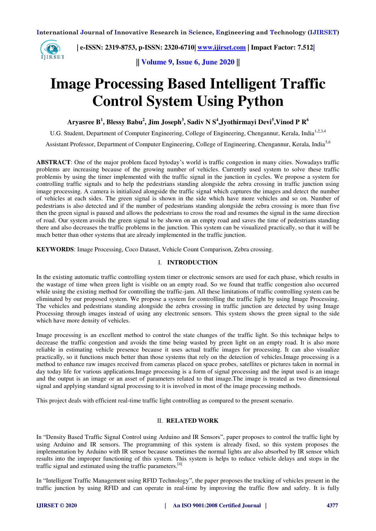

 **| e-ISSN: 2319-8753, p-ISSN: 2320-6710| [www.ijirset.com](http://www.ijirset.com/) | Impact Factor: 7.512|**

**|| Volume 9, Issue 6, June 2020 ||** 

# **Image Processing Based Intelligent Traffic Control System Using Python**

**Aryasree B<sup>1</sup> , Blessy Babu<sup>2</sup> , Jim Joseph<sup>3</sup> , Sadiv N S<sup>4</sup> ,Jyothirmayi Devi<sup>5</sup> ,Vinod P R<sup>6</sup>**

U.G. Student, Department of Computer Engineering, College of Engineering, Chengannur, Kerala, India<sup>1,2,3,4</sup>

Assistant Professor, Department of Computer Engineering, College of Engineering, Chengannur, Kerala, India5,6

**ABSTRACT**: One of the major problem faced bytoday's world is traffic congestion in many cities. Nowadays traffic problems are increasing because of the growing number of vehicles. Currently used system to solve these traffic problemis by using the timer implemented with the traffic signal in the junction in cycles. We propose a system for controlling traffic signals and to help the pedestrians standing alongside the zebra crossing in traffic junction using image processing. A camera is initialized alongside the traffic signal which captures the images and detect the number of vehicles at each sides. The green signal is shown in the side which have more vehicles and so on. Number of pedestrians is also detected and if the number of pedestrians standing alongside the zebra crossing is more than five then the green signal is paused and allows the pedestrians to cross the road and resumes the signal in the same direction of road. Our system avoids the green signal to be shown on an empty road and saves the time of pedestrians standing there and also decreases the traffic problems in the junction. This system can be visualized practically, so that it will be much better than other systems that are already implemented in the traffic junction.

**KEYWORDS**: Image Processing, Coco Dataset, Vehicle Count Comparison, Zebra crossing.

## I. **INTRODUCTION**

In the existing automatic traffic controlling system timer or electronic sensors are used for each phase, which results in the wastage of time when green light is visible on an empty road. So we found that traffic congestion also occurred while using the existing method for controlling the traffic-jam. All these limitations of traffic controlling system can be eliminated by our proposed system. We propose a system for controlling the traffic light by using Image Processing. The vehicles and pedestrians standing alongside the zebra crossing in traffic junction are detected by using Image Processing through images instead of using any electronic sensors. This system shows the green signal to the side which have more density of vehicles.

Image processing is an excellent method to control the state changes of the traffic light. So this technique helps to decrease the traffic congestion and avoids the time being wasted by green light on an empty road. It is also more reliable in estimating vehicle presence because it uses actual traffic images for processing. It can also visualize practically, so it functions much better than those systems that rely on the detection of vehicles.Image processing is a method to enhance raw images received from cameras placed on space probes, satellites or pictures taken in normal in day today life for various applications.Image processing is a form of signal processing and the input used is an image and the output is an image or an asset of parameters related to that image.The image is treated as two dimensional signal and applying standard signal processing to it is involved in most of the image processing methods.

This project deals with efficient real-time traffic light controlling as compared to the present scenario.

## II. **RELATED WORK**

In "Density Based Traffic Signal Control using Arduino and IR Sensors", paper proposes to control the traffic light by using Arduino and IR sensors. The programming of this system is already fixed, so this system proposes the implementation by Arduino with IR sensor because sometimes the normal lights are also absorbed by IR sensor which results into the improper functioning of this system. This system is helps to reduce vehicle delays and stops in the traffic signal and estimated using the traffic parameters. $[4]$ 

In "Intelligent Traffic Management using RFID Technology", the paper proposes the tracking of vehicles present in the traffic junction by using RFID and can operate in real-time by improving the traffic flow and safety. It is fully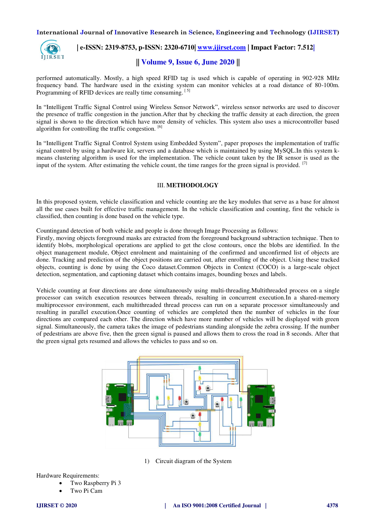

# **| e-ISSN: 2319-8753, p-ISSN: 2320-6710| [www.ijirset.com](http://www.ijirset.com/) | Impact Factor: 7.512|**

# **|| Volume 9, Issue 6, June 2020 ||**

performed automatically. Mostly, a high speed RFID tag is used which is capable of operating in 902-928 MHz frequency band. The hardware used in the existing system can monitor vehicles at a road distance of 80-100m. Programming of RFID devices are really time consuming. [5]

In "Intelligent Traffic Signal Control using Wireless Sensor Network", wireless sensor networks are used to discover the presence of traffic congestion in the junction.After that by checking the traffic density at each direction, the green signal is shown to the direction which have more density of vehicles. This system also uses a microcontroller based algorithm for controlling the traffic congestion. [6]

In "Intelligent Traffic Signal Control System using Embedded System", paper proposes the implementation of traffic signal control by using a hardware kit, servers and a database which is maintained by using MySQL.In this system kmeans clustering algorithm is used for the implementation. The vehicle count taken by the IR sensor is used as the input of the system. After estimating the vehicle count, the time ranges for the green signal is provided.  $\frac{1}{12}$ 

## III. **METHODOLOGY**

In this proposed system, vehicle classification and vehicle counting are the key modules that serve as a base for almost all the use cases built for effective traffic management. In the vehicle classification and counting, first the vehicle is classified, then counting is done based on the vehicle type.

Countingand detection of both vehicle and people is done through Image Processing as follows:

Firstly, moving objects foreground masks are extracted from the foreground background subtraction technique. Then to identify blobs, morphological operations are applied to get the close contours, once the blobs are identified. In the object management module, Object enrolment and maintaining of the confirmed and unconfirmed list of objects are done. Tracking and prediction of the object positions are carried out, after enrolling of the object. Using these tracked objects, counting is done by using the Coco dataset.Common Objects in Context (COCO) is a large-scale object detection, segmentation, and captioning dataset which contains images, bounding boxes and labels.

Vehicle counting at four directions are done simultaneously using multi-threading.Multithreaded process on a single processor can switch execution resources between threads, resulting in concurrent execution.In a shared-memory multiprocessor environment, each multithreaded thread process can run on a separate processor simultaneously and resulting in parallel execution.Once counting of vehicles are completed then the number of vehicles in the four directions are compared each other. The direction which have more number of vehicles will be displayed with green signal. Simultaneously, the camera takes the image of pedestrians standing alongside the zebra crossing. If the number of pedestrians are above five, then the green signal is paused and allows them to cross the road in 8 seconds. After that the green signal gets resumed and allows the vehicles to pass and so on.



1) Circuit diagram of the System

Hardware Requirements:

- Two Raspberry Pi 3
	- Two Pi Cam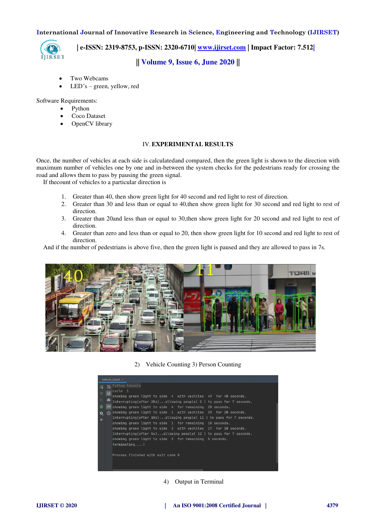

 **| e-ISSN: 2319-8753, p-ISSN: 2320-6710| [www.ijirset.com](http://www.ijirset.com/) | Impact Factor: 7.512|**

# **|| Volume 9, Issue 6, June 2020 ||**

- Two Webcams
- LED's green, yellow, red

Software Requirements:

- Python
- Coco Dataset
- OpenCV library

### IV.**EXPERIMENTAL RESULTS**

Once, the number of vehicles at each side is calculatedand compared, then the green light is shown to the direction with maximum number of vehicles one by one and in-between the system checks for the pedestrians ready for crossing the road and allows them to pass by pausing the green signal.

If thecount of vehicles to a particular direction is

- 1. Greater than 40, then show green light for 40 second and red light to rest of direction.
- 2. Greater than 30 and less than or equal to 40,then show green light for 30 second and red light to rest of direction.
- 3. Greater than 20and less than or equal to 30,then show green light for 20 second and red light to rest of direction.
- 4. Greater than zero and less than or equal to 20, then show green light for 10 second and red light to rest of direction.

And if the number of pedestrians is above five, then the green light is paused and they are allowed to pass in 7s.





|   | vehicle count $\times$                                                  |  |
|---|-------------------------------------------------------------------------|--|
|   | Python Console                                                          |  |
|   | $\leftrightarrow$ cycle 1                                               |  |
|   | showing green light to side 4 with vechiles 49 for 40 seconds.          |  |
|   | ÷<br>Interrupting(after 20s)allowing people( 5 ) to pass for 7 seconds. |  |
| 善 | $\infty$ showing green light to side 4 for remaining 20 seconds.        |  |
| ≎ | showing green light to side 1 with vechiles 39 for 20 seconds.<br>ര     |  |
| ÷ | Interrupting(after $10s$ )allowing people( 11 ) to pass for 7 seconds.  |  |
|   | showing green light to side $\overline{1}$ for remaining 10 seconds.    |  |
|   | showing green light to side 3 with vechiles 17 for 10 seconds.          |  |
|   | Interrupting(after 5s)allowing people( $12$ ) to pass for 7 seconds.    |  |
|   | showing green light to side 3 for remaining 5 seconds.                  |  |
|   | terminating!                                                            |  |
|   |                                                                         |  |
|   | Process finished with exit code 0                                       |  |
|   |                                                                         |  |
|   |                                                                         |  |
|   |                                                                         |  |

## 4) Output in Terminal